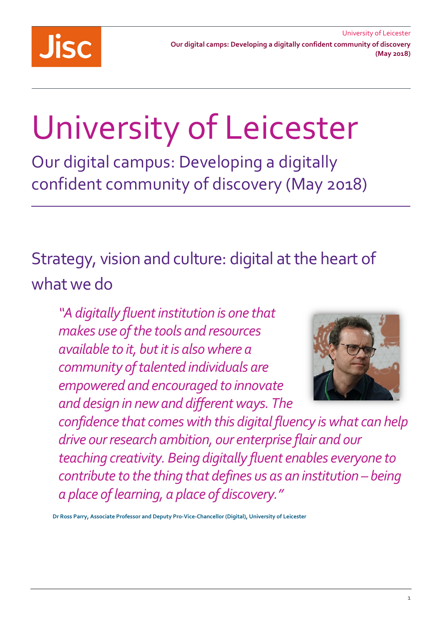

# University of Leicester

 confident community of discovery (May 2018) Our digital campus: Developing a digitally

 Strategy, vision and culture: digital at the heart of what we do

 *available to it, but it is also where a community of talented individuals are empowered and encouraged to innovate "A digitally fluent institution is one that makes use of the tools and resources and design in new and different ways. The* 



 *confidence that comes with this digital fluency is what can help teaching creativity. Being digitally fluent enables everyone to contribute to the thing that defines us as an institution – being drive our research ambition, our enterprise flair and our a place of learning, a place of discovery."* 

 **Dr Ross Parry, Associate Professor and Deputy Pro-Vice-Chancellor (Digital), University of Leicester**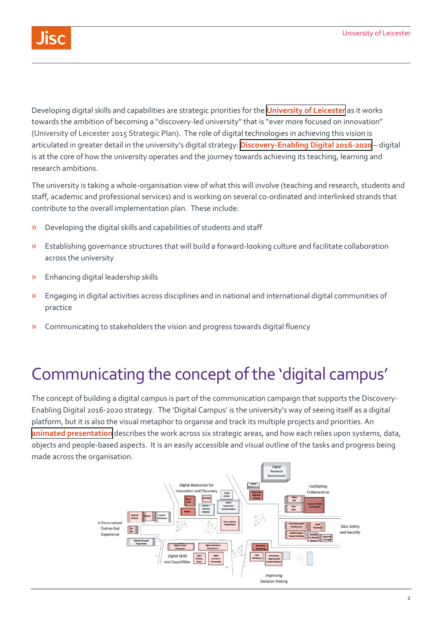

Developing digital skills and capabilities are strategic priorities for the **[University of Leicester](https://le.ac.uk/)** as it works towards the ambition of becoming a "discovery-led university" that is "ever more focused on innovation" (University of Leicester 2015 Strategic Plan). The role of digital technologies in achieving this vision is articulated in greater detail in the university's digital strategy: **[Discovery-Enabling Digital 2016-2020](https://digitalcapability.jisc.ac.uk/documents/6/University-of-Leicester-Digital-Strategy.pdf)** – digital is at the core of how the university operates and the journey towards achieving its teaching, learning and research ambitions.

The university is taking a whole-organisation view of what this will involve (teaching and research, students and staff, academic and professional services) and is working on several co-ordinated and interlinked strands that contribute to the overall implementation plan. These include:

- » Developing the digital skills and capabilities of students and staff
- » Establishing governance structures that will build a forward-looking culture and facilitate collaboration across the university
- » Enhancing digital leadership skills
- » Engaging in digital activities across disciplines and in national and international digital communities of practice
- » Communicating to stakeholders the vision and progress towards digital fluency

#### Communicating the concept of the 'digital campus'

The concept of building a digital campus is part of the communication campaign that supports the Discovery-Enabling Digital 2016-2020 strategy. The 'Digital Campus' is the university's way of seeing itself as a digital platform, but it is also the visual metaphor to organise and track its multiple projects and priorities. An **[animated presentation](https://www.youtube.com/watch?v=RYbC25dzek0)** describes the work across six strategic areas, and how each relies upon systems, data, objects and people-based aspects. It is an easily accessible and visual outline of the tasks and progress being made across the organisation.

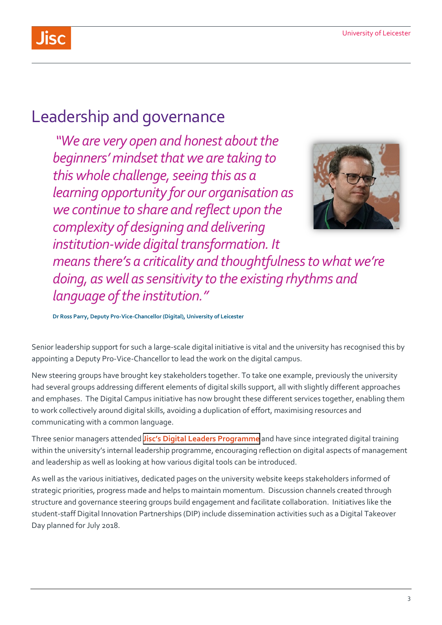

### Leadership and governance

 *"We are very open and honest about the beginners' mindset that we are taking to this whole challenge, seeing this as a learning opportunity for our organisation as we continue to share and reflect upon the complexity of designing and delivering [institution-wide digital transformation. It](https://institution-widedigitaltransformation.It)* 



*means there's a criticality and thoughtfulness to what we're doing, as well as sensitivity to the existing rhythms and language of the institution."* 

 **Dr Ross Parry, Deputy Pro-Vice-Chancellor (Digital), University of Leicester** 

Senior leadership support for such a large-scale digital initiative is vital and the university has recognised this by appointing a Deputy Pro-Vice-Chancellor to lead the work on the digital campus.

New steering groups have brought key stakeholders together. To take one example, previously the university had several groups addressing different elements of digital skills support, all with slightly different approaches and emphases. The Digital Campus initiative has now brought these different services together, enabling them to work collectively around digital skills, avoiding a duplication of effort, maximising resources and communicating with a common language.

Three senior managers attended **[Jisc's Digital Leaders Programme](https://www.jisc.ac.uk/training/digital-leaders-programme)** and have since integrated digital training within the university's internal leadership programme, encouraging reflection on digital aspects of management and leadership as well as looking at how various digital tools can be introduced.

As well as the various initiatives, dedicated pages on the university website keeps stakeholders informed of strategic priorities, progress made and helps to maintain momentum. Discussion channels created through structure and governance steering groups build engagement and facilitate collaboration. Initiatives like the student-staff Digital Innovation Partnerships (DIP) include dissemination activities such as a Digital Takeover Day planned for July 2018.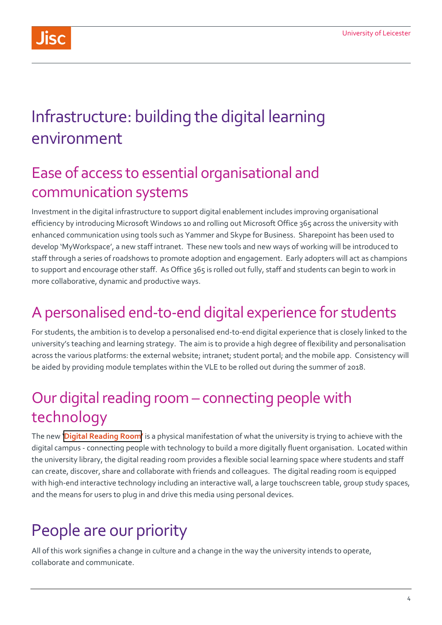

## Infrastructure: building the digital learning environment

#### Ease of access to essential organisational and communication systems

Investment in the digital infrastructure to support digital enablement includes improving organisational efficiency by introducing Microsoft Windows 10 and rolling out Microsoft Office 365 across the university with enhanced communication using tools such as Yammer and Skype for Business. Sharepoint has been used to develop 'MyWorkspace', a new staff intranet. These new tools and new ways of working will be introduced to staff through a series of roadshows to promote adoption and engagement. Early adopters will act as champions to support and encourage other staff. As Office 365 is rolled out fully, staff and students can begin to work in more collaborative, dynamic and productive ways.

## A personalised end-to-end digital experience for students

For students, the ambition is to develop a personalised end-to-end digital experience that is closely linked to the university's teaching and learning strategy. The aim is to provide a high degree of flexibility and personalisation across the various platforms: the external website; intranet; student portal; and the mobile app. Consistency will be aided by providing module templates within the VLE to be rolled out during the summer of 2018.

### Our digital reading room – connecting people with technology

The new '**[Digital Reading Room](https://www.youtube.com/watch?v=MjgH_zZL5pQ)'** is a physical manifestation of what the university is trying to achieve with the digital campus - connecting people with technology to build a more digitally fluent organisation. Located within the university library, the digital reading room provides a flexible social learning space where students and staff can create, discover, share and collaborate with friends and colleagues. The digital reading room is equipped with high-end interactive technology including an interactive wall, a large touchscreen table, group study spaces, and the means for users to plug in and drive this media using personal devices.

## People are our priority

All of this work signifies a change in culture and a change in the way the university intends to operate, collaborate and communicate.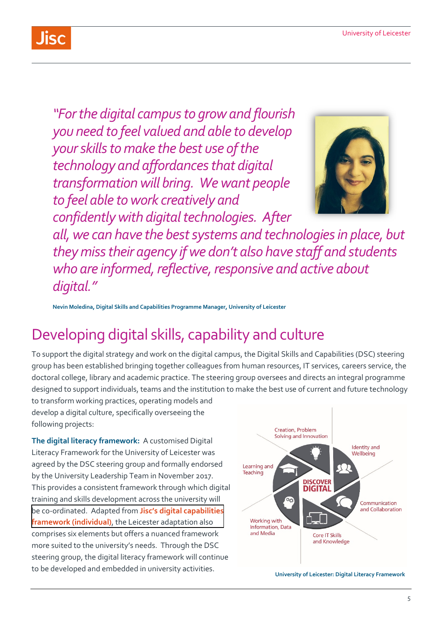*"For the digital campus to grow and flourish you need to feel valued and able to develop your skills to make the best use of the technology and affordances that digital transformation will bring. We want people to feel able to work creatively and confidently with digital technologies. After* 



 *all, we can have the best systems and technologies in place, but they miss their agency if we don't also have staff and students who are informed, reflective, responsive and active about digital."* 

 **Nevin Moledina, Digital Skills and Capabilities Programme Manager, University of Leicester** 

## Developing digital skills, capability and culture

j To support the digital strategy and work on the digital campus, the Digital Skills and Capabilities (DSC) steering group has been established bringing together colleagues from human resources, IT services, careers service, the doctoral college, library and academic practice. The steering group oversees and directs an integral programme designed to support individuals, teams and the institution to make the best use of current and future technology

to transform working practices, operating models and develop a digital culture, specifically overseeing the following projects:

**The digital literacy framework:** A customised Digital Literacy Framework for the University of Leicester was agreed by the DSC steering group and formally endorsed by the University Leadership Team in November 2017. This provides a consistent framework through which digital training and skills development across the university will [be co-ordinated. Adapted from](http://repository.jisc.ac.uk/6611/1/JFL0066F_DIGIGAP_MOD_IND_FRAME.PDF) **Jisc's digital capabilities framework (individual)**, the Leicester adaptation also comprises six elements but offers a nuanced framework more suited to the university's needs. Through the DSC steering group, the digital literacy framework will continue to be developed and embedded in university activities.



**University of Leicester: Digital Literacy Framework**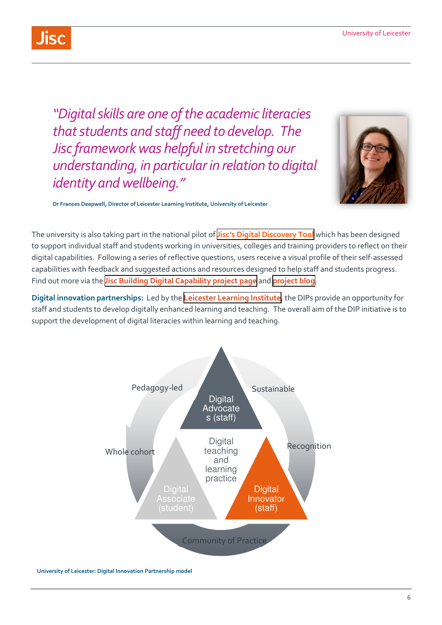*"Digital skills are one of the academic literacies that students and staff need to develop. The Jisc framework was helpful in stretching our understanding, in particular in relation to digital identity and wellbeing."* 



 **Dr Frances Deepwell, Director of Leicester Learning Institute, University of Leicester** 

The university is also taking part in the national pilot of **[Jisc's Digital Discovery Tool](https://digitalcapability.jisc.ac.uk/our-service/discovery-tool/)** which has been designed to support individual staff and students working in universities, colleges and training providers to reflect on their digital capabilities. Following a series of reflective questions, users receive a visual profile of their self-assessed capabilities with feedback and suggested actions and resources designed to help staff and students progress. Find out more via the **[Jisc Building Digital Capability project page](https://www.jisc.ac.uk/rd/projects/building-digital-capability)** and **[project blog](https://digitalcapability.jiscinvolve.org/wp/)**.

**Digital innovation partnerships:** Led by the **[Leicester Learning Institute](https://www2.le.ac.uk/offices/lli)**, the DIPs provide an opportunity for staff and students to develop digitally enhanced learning and teaching. The overall aim of the DIP initiative is to support the development of digital literacies within learning and teaching.



 **University of Leicester: Digital Innovation Partnership model**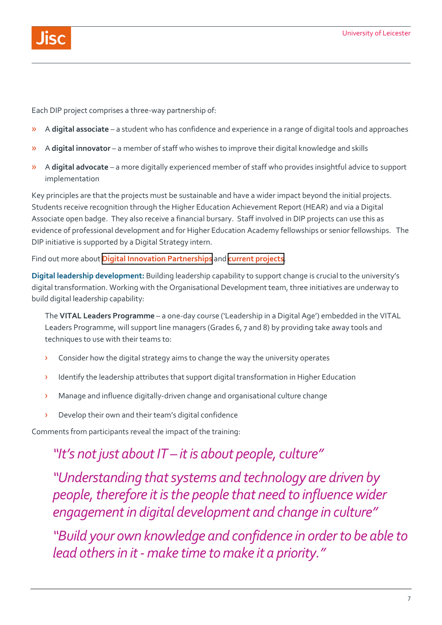Each DIP project comprises a three-way partnership of:

- » A **digital associate**  a student who has confidence and experience in a range of digital tools and approaches
- » A **digital innovator**  a member of staff who wishes to improve their digital knowledge and skills
- » A **digital advocate**  a more digitally experienced member of staff who provides insightful advice to support implementation

Key principles are that the projects must be sustainable and have a wider impact beyond the initial projects. Students receive recognition through the Higher Education Achievement Report (HEAR) and via a Digital Associate open badge. They also receive a financial bursary. Staff involved in DIP projects can use this as evidence of professional development and for Higher Education Academy fellowships or senior fellowships. The DIP initiative is supported by a Digital Strategy intern.

Find out more about **[Digital Innovation Partnerships](https://www2.le.ac.uk/offices/lli/developing-learning-and-teaching/enhance/digital-innovation-partnership)** and **[current projects](https://www2.le.ac.uk/offices/lli/developing-learning-and-teaching/enhance/digital-innovation-partnership/dip-projects)**.

 **Digital leadership development:** Building leadership capability to support change is crucial to the university's digital transformation. Working with the Organisational Development team, three initiatives are underway to build digital leadership capability:

 The **VITAL Leaders Programme** – a one-day course ('Leadership in a Digital Age') embedded in the VITAL j Leaders Programme, will support line managers (Grades 6, 7 and 8) by providing take away tools and techniques to use with their teams to:

- $\rightarrow$  Consider how the digital strategy aims to change the way the university operates
- j › Identify the leadership attributes that support digital transformation in Higher Education
- › Manage and influence digitally-driven change and organisational culture change
- › Develop their own and their team's digital confidence

Comments from participants reveal the impact of the training:

#### *"It's not just about IT – it is about people, culture"*

 *"Understanding that systems and technology are driven by people, therefore it is the people that need to influence wider engagement in digital development and change in culture"* 

 *lead others in it - make time to make it a priority." "Build your own knowledge and confidence in order to be able to*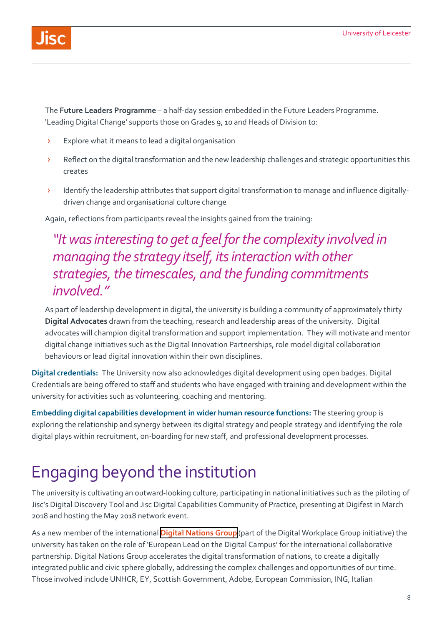

 The **Future Leaders Programme** – a half-day session embedded in the Future Leaders Programme. 'Leading Digital Change' supports those on Grades 9, 10 and Heads of Division to:

- **>** Explore what it means to lead a digital organisation
- **>** Reflect on the digital transformation and the new leadership challenges and strategic opportunities this creates
- > Identify the leadership attributes that support digital transformation to manage and influence digitally-driven change and organisational culture change

Again, reflections from participants reveal the insights gained from the training:

#### *"It was interesting to get a feel for the complexity involved in managing the strategy itself, its interaction with other strategies, the timescales, and the funding commitments involved."*

 $\begin{array}{c} \hline \end{array}$ As part of leadership development in digital, the university is building a community of approximately thirty **Digital Advocates** drawn from the teaching, research and leadership areas of the university. Digital advocates will champion digital transformation and support implementation. They will motivate and mentor digital change initiatives such as the Digital Innovation Partnerships, role model digital collaboration behaviours or lead digital innovation within their own disciplines.

 **Digital credentials:** The University now also acknowledges digital development using open badges. Digital Credentials are being offered to staff and students who have engaged with training and development within the university for activities such as volunteering, coaching and mentoring.

**Embedding digital capabilities development in wider human resource functions:** The steering group is exploring the relationship and synergy between its digital strategy and people strategy and identifying the role digital plays within recruitment, on-boarding for new staff, and professional development processes.

## Engaging beyond the institution

The university is cultivating an outward-looking culture, participating in national initiatives such as the piloting of Jisc's Digital Discovery Tool and Jisc Digital Capabilities Community of Practice, presenting at Digifest in March 2018 and hosting the May 2018 network event.

As a new member of the international **[Digital Nations Group](https://digitalworkplacegroup.com/)** (part of the Digital Workplace Group initiative) the university has taken on the role of 'European Lead on the Digital Campus' for the international collaborative partnership. Digital Nations Group accelerates the digital transformation of nations, to create a digitally integrated public and civic sphere globally, addressing the complex challenges and opportunities of our time. Those involved include UNHCR, EY, Scottish Government, Adobe, European Commission, ING, Italian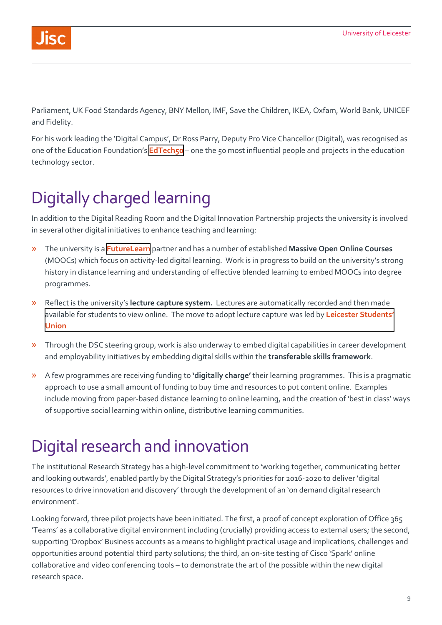Parliament, UK Food Standards Agency, BNY Mellon, IMF, Save the Children, IKEA, Oxfam, World Bank, UNICEF and Fidelity.

For his work leading the 'Digital Campus', Dr Ross Parry, Deputy Pro Vice Chancellor (Digital), was recognised as one of the Education Foundation's **[EdTech50](https://www.ednfoundation.org/wp-content/uploads/EDTECH50.pdf)** – one the 50 most influential people and projects in the education technology sector.

## Digitally charged learning

In addition to the Digital Reading Room and the Digital Innovation Partnership projects the university is involved in several other digital initiatives to enhance teaching and learning:

- » The university is a **[FutureLearn](https://www.futurelearn.com/)** partner and has a number of established **Massive Open Online Courses**  (MOOCs) which focus on activity-led digital learning. Work is in progress to build on the university's strong history in distance learning and understanding of effective blended learning to embed MOOCs into degree programmes.
- » Reflect is the university's **lecture capture system.** Lectures are automatically recorded and then made [available for students to view online. The move to adopt lecture capture was led by](https://www.leicesterunion.com/) **Leicester Students' Union**
- » Through the DSC steering group, work is also underway to embed digital capabilities in career development and employability initiatives by embedding digital skills within the **transferable skills framework**.
- » A few programmes are receiving funding to **'digitally charge'** their learning programmes. This is a pragmatic approach to use a small amount of funding to buy time and resources to put content online. Examples include moving from paper-based distance learning to online learning, and the creation of 'best in class' ways of supportive social learning within online, distributive learning communities.

## Digital research and innovation

The institutional Research Strategy has a high-level commitment to 'working together, communicating better and looking outwards', enabled partly by the Digital Strategy's priorities for 2016-2020 to deliver 'digital resources to drive innovation and discovery' through the development of an 'on demand digital research

 research space. environment'. Looking forward, three pilot projects have been initiated. The first, a proof of concept exploration of Office 365 'Teams' as a collaborative digital environment including (crucially) providing access to external users; the second, supporting 'Dropbox' Business accounts as a means to highlight practical usage and implications, challenges and opportunities around potential third party solutions; the third, an on-site testing of Cisco 'Spark' online collaborative and video conferencing tools – to demonstrate the art of the possible within the new digital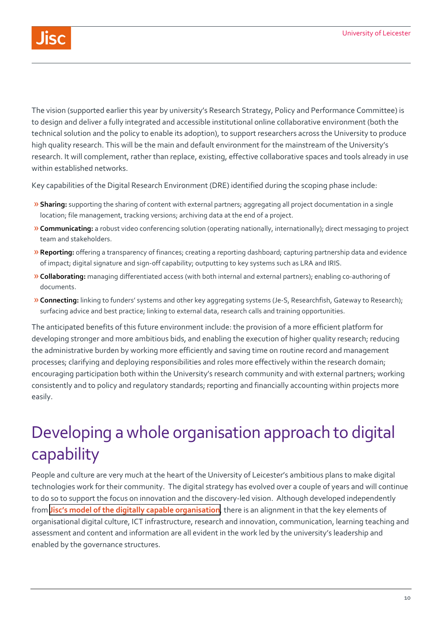

 The vision (supported earlier this year by university's Research Strategy, Policy and Performance Committee) is to design and deliver a fully integrated and accessible institutional online collaborative environment (both the technical solution and the policy to enable its adoption), to support researchers across the University to produce high quality research. This will be the main and default environment for the mainstream of the University's research. It will complement, rather than replace, existing, effective collaborative spaces and tools already in use within established networks.

Key capabilities of the Digital Research Environment (DRE) identified during the scoping phase include:

- » **Sharing:** supporting the sharing of content with external partners; aggregating all project documentation in a single location; file management, tracking versions; archiving data at the end of a project.
- »**Communicating:** a robust video conferencing solution (operating nationally, internationally); direct messaging to project team and stakeholders.
- İ. »**Reporting:** offering a transparency of finances; creating a reporting dashboard; capturing partnership data and evidence of impact; digital signature and sign-off capability; outputting to key systems such as LRA and IRIS.
- »**Collaborating:** managing differentiated access (with both internal and external partners); enabling co-authoring of documents.
- »**Connecting:** linking to funders' systems and other key aggregating systems (Je-S, Researchfish, Gateway to Research); surfacing advice and best practice; linking to external data, research calls and training opportunities.

The anticipated benefits of this future environment include: the provision of a more efficient platform for developing stronger and more ambitious bids, and enabling the execution of higher quality research; reducing the administrative burden by working more efficiently and saving time on routine record and management processes; clarifying and deploying responsibilities and roles more effectively within the research domain; encouraging participation both within the University's research community and with external partners; working consistently and to policy and regulatory standards; reporting and financially accounting within projects more easily.

## Developing a whole organisation approach to digital capability

People and culture are very much at the heart of the University of Leicester's ambitious plans to make digital technologies work for their community. The digital strategy has evolved over a couple of years and will continue to do so to support the focus on innovation and the discovery-led vision. Although developed independently from **[Jisc's model of the digitally capable organisation](https://www.jisc.ac.uk/guides/developing-organisational-approaches-to-digital-capability/the-digitally-capable-organisation)**, there is an alignment in that the key elements of organisational digital culture, ICT infrastructure, research and innovation, communication, learning teaching and assessment and content and information are all evident in the work led by the university's leadership and enabled by the governance structures.